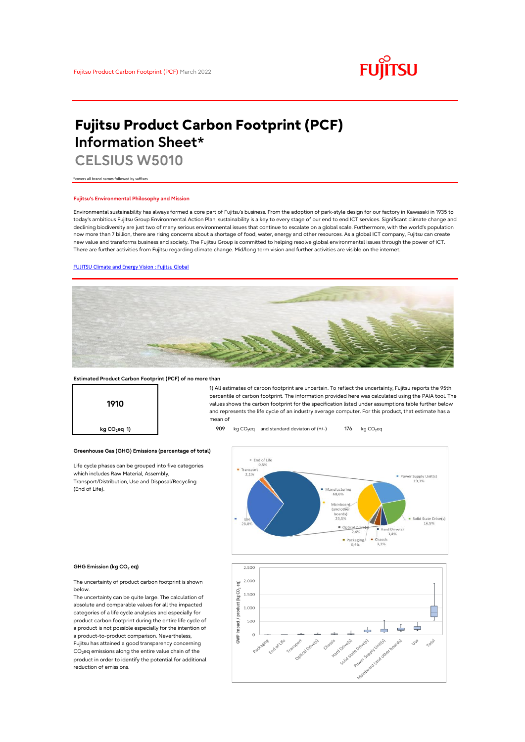

# **Fujitsu Product Carbon Footprint (PCF) Information Sheet\***

**CELSIUS W5010**

\*covers all brand names followed by suffixes

### **Fujitsu's Environmental Philosophy and Mission**

Environmental sustainability has always formed a core part of Fujitsu's business. From the adoption of park-style design for our factory in Kawasaki in 1935 to today's ambitious Fujitsu Group Environmental Action Plan, sustainability is a key to every stage of our end to end ICT services. Significant climate change and declining biodiversity are just two of many serious environmental issues that continue to escalate on a global scale. Furthermore, with the world's population now more than 7 billion, there are rising concerns about a shortage of food, water, energy and other resources. As a global ICT company, Fujitsu can create new value and transforms business and society. The Fujitsu Group is committed to helping resolve global environmental issues through the power of ICT. There are further activities from Fujitsu regarding climate change. Mid/long term vision and further activities are visible on the internet.

### [FUJITSU Climate and Energy Vision : Fujitsu Global](https://www.fujitsu.com/global/about/environment/climate-energy-vision/)



### **Estimated Product Carbon Footprint (PCF) of no more than**

**1910**

1) All estimates of carbon footprint are uncertain. To reflect the uncertainty, Fujitsu reports the 95th percentile of carbon footprint. The information provided here was calculated using the PAIA tool. The values shows the carbon footprint for the specification listed under assumptions table further below and represents the life cycle of an industry average computer. For this product, that estimate has a mean of

**kg CO<sub>2</sub>eq 1) 176 kg CO<sub>2</sub>eq 2009 kg CO<sub>2</sub>eq and standard deviaton of (+/-) 176 <b>kg** CO<sub>2</sub>eq



#### **GHG Emission (kg CO2 eq)**

(End of Life).

The uncertainty of product carbon footprint is shown below.

Life cycle phases can be grouped into five categories

**Greenhouse Gas (GHG) Emissions (percentage of total)**

which includes Raw Material, Assembly, Transport/Distribution, Use and Disposal/Recycling

The uncertainty can be quite large. The calculation of absolute and comparable values for all the impacted categories of a life cycle analysies and especially for product carbon footprint during the entire life cycle of a product is not possible especially for the intention of a product-to-product comparison. Nevertheless, Fujitsu has attained a good transparency concerning  $CO<sub>2</sub>$ eq emissions along the entire value chain of the product in order to identify the potential for additional reduction of emissions.